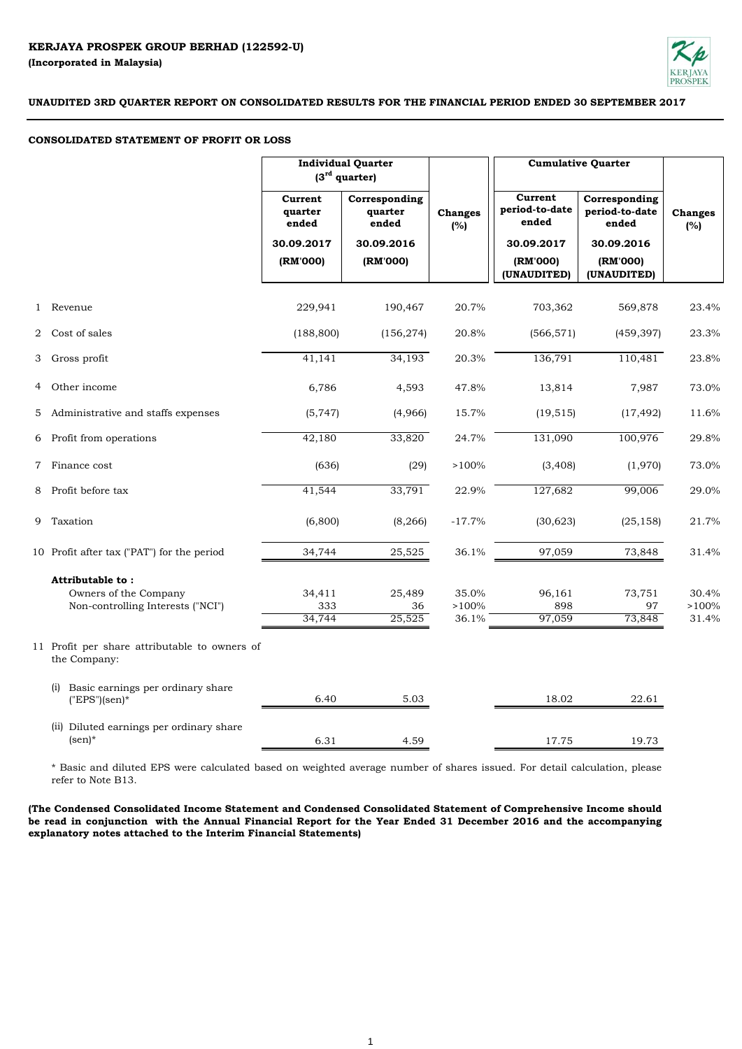

## **CONSOLIDATED STATEMENT OF PROFIT OR LOSS**

|                |                                                               | <b>Individual Quarter</b><br>$(3rd$ quarter) |                                   |                       |                                    | <b>Cumulative Quarter</b>                |                       |
|----------------|---------------------------------------------------------------|----------------------------------------------|-----------------------------------|-----------------------|------------------------------------|------------------------------------------|-----------------------|
|                |                                                               | Current<br>quarter<br>ended                  | Corresponding<br>quarter<br>ended | <b>Changes</b><br>(%) | Current<br>period-to-date<br>ended | Corresponding<br>period-to-date<br>ended | <b>Changes</b><br>(%) |
|                |                                                               | 30.09.2017                                   | 30.09.2016                        |                       | 30.09.2017                         | 30.09.2016                               |                       |
|                |                                                               | (RM'000)                                     | (RM'000)                          |                       | (RM'000)<br>(UNAUDITED)            | (RM'000)<br>(UNAUDITED)                  |                       |
|                | 1 Revenue                                                     | 229,941                                      | 190,467                           | 20.7%                 | 703,362                            | 569,878                                  | 23.4%                 |
|                | 2 Cost of sales                                               | (188, 800)                                   | (156, 274)                        | 20.8%                 | (566, 571)                         | (459, 397)                               | 23.3%                 |
| 3              | Gross profit                                                  | 41,141                                       | 34,193                            | 20.3%                 | 136,791                            | 110,481                                  | 23.8%                 |
| 4              | Other income                                                  | 6,786                                        | 4,593                             | 47.8%                 | 13,814                             | 7,987                                    | 73.0%                 |
| 5 <sup>5</sup> | Administrative and staffs expenses                            | (5,747)                                      | (4,966)                           | 15.7%                 | (19, 515)                          | (17, 492)                                | 11.6%                 |
|                | 6 Profit from operations                                      | 42,180                                       | 33,820                            | 24.7%                 | 131,090                            | 100,976                                  | 29.8%                 |
| $\mathbf 7$    | Finance cost                                                  | (636)                                        | (29)                              | >100%                 | (3, 408)                           | (1,970)                                  | 73.0%                 |
| 8              | Profit before tax                                             | 41,544                                       | 33,791                            | 22.9%                 | 127,682                            | 99,006                                   | 29.0%                 |
|                | 9 Taxation                                                    | (6,800)                                      | (8, 266)                          | $-17.7%$              | (30,623)                           | (25, 158)                                | 21.7%                 |
|                | 10 Profit after tax ("PAT") for the period                    | 34,744                                       | 25,525                            | 36.1%                 | 97,059                             | 73,848                                   | 31.4%                 |
|                | Attributable to:                                              |                                              |                                   |                       |                                    |                                          |                       |
|                | Owners of the Company                                         | 34,411                                       | 25,489                            | 35.0%                 | 96,161                             | 73,751                                   | 30.4%                 |
|                | Non-controlling Interests ("NCI")                             | 333<br>34,744                                | 36<br>25,525                      | >100%<br>36.1%        | 898<br>97,059                      | 97<br>73,848                             | >100%<br>31.4%        |
|                | 11 Profit per share attributable to owners of<br>the Company: |                                              |                                   |                       |                                    |                                          |                       |
|                | Basic earnings per ordinary share<br>(i)<br>$("EPS"(sen)*$    | 6.40                                         | 5.03                              |                       | 18.02                              | 22.61                                    |                       |
|                | (ii) Diluted earnings per ordinary share<br>$(\text{sen})^*$  | 6.31                                         | 4.59                              |                       | 17.75                              | 19.73                                    |                       |

\* Basic and diluted EPS were calculated based on weighted average number of shares issued. For detail calculation, please refer to Note B13.

**(The Condensed Consolidated Income Statement and Condensed Consolidated Statement of Comprehensive Income should** be read in conjunction with the Annual Financial Report for the Year Ended 31 December 2016 and the accompanying **explanatory notes attached to the Interim Financial Statements)**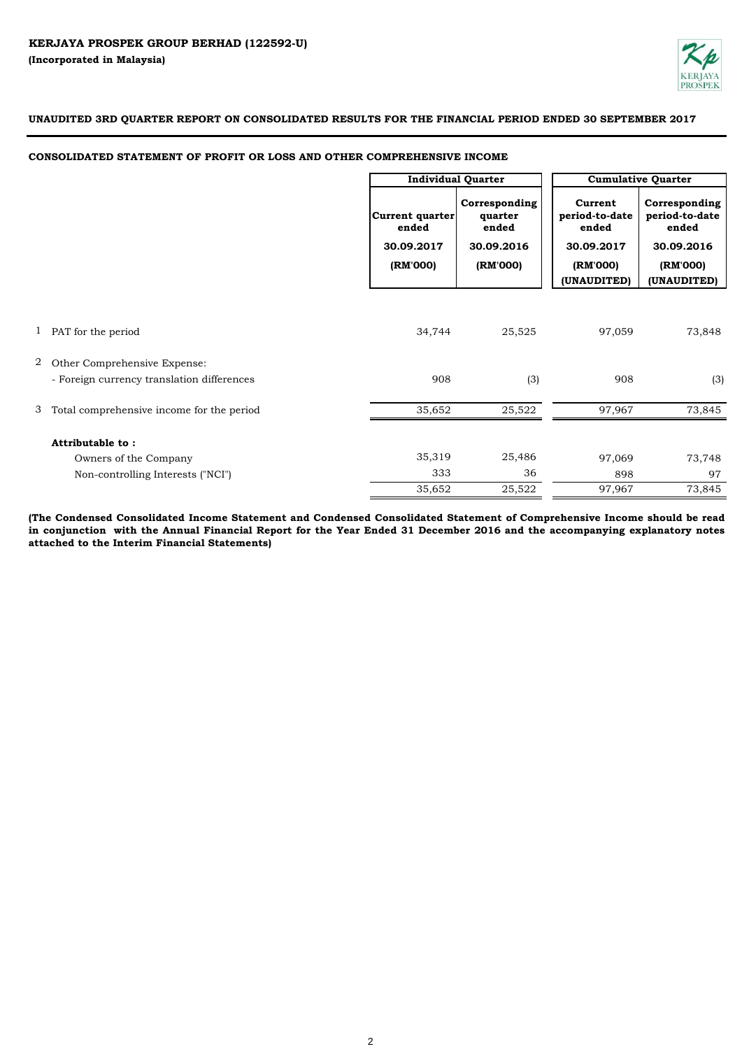

# **CONSOLIDATED STATEMENT OF PROFIT OR LOSS AND OTHER COMPREHENSIVE INCOME**

|   |                                            | <b>Individual Quarter</b>                                 |                                                             | <b>Cumulative Quarter</b>                                                   |                                                                                   |
|---|--------------------------------------------|-----------------------------------------------------------|-------------------------------------------------------------|-----------------------------------------------------------------------------|-----------------------------------------------------------------------------------|
|   |                                            | <b>Current quarter</b><br>ended<br>30.09.2017<br>(RM'000) | Corresponding<br>quarter<br>ended<br>30.09.2016<br>(RM'000) | Current<br>period-to-date<br>ended<br>30.09.2017<br>(RM'000)<br>(UNAUDITED) | Corresponding<br>period-to-date<br>ended<br>30.09.2016<br>(RM'000)<br>(UNAUDITED) |
|   |                                            |                                                           |                                                             |                                                                             |                                                                                   |
|   | 1 PAT for the period                       | 34,744                                                    | 25,525                                                      | 97,059                                                                      | 73,848                                                                            |
| 2 | Other Comprehensive Expense:               |                                                           |                                                             |                                                                             |                                                                                   |
|   | - Foreign currency translation differences | 908                                                       | (3)                                                         | 908                                                                         | (3)                                                                               |
| 3 | Total comprehensive income for the period  | 35,652                                                    | 25,522                                                      | 97,967                                                                      | 73,845                                                                            |
|   | Attributable to:                           |                                                           |                                                             |                                                                             |                                                                                   |
|   | Owners of the Company                      | 35,319                                                    | 25,486                                                      | 97,069                                                                      | 73,748                                                                            |
|   | Non-controlling Interests ("NCI")          | 333                                                       | 36                                                          | 898                                                                         | 97                                                                                |
|   |                                            | 35,652                                                    | 25,522                                                      | 97,967                                                                      | 73,845                                                                            |

(The Condensed Consolidated Income Statement and Condensed Consolidated Statement of Comprehensive Income should be read in conjunction with the Annual Financial Report for the Year Ended 31 December 2016 and the accompanying explanatory notes **attached to the Interim Financial Statements)**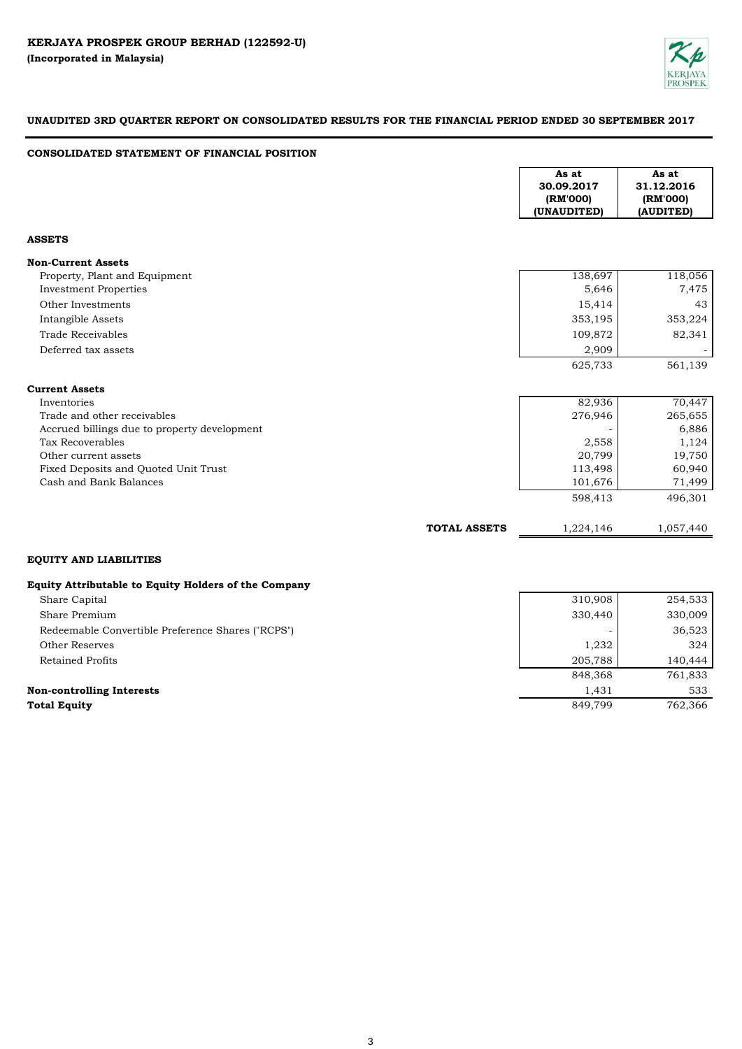

# **CONSOLIDATED STATEMENT OF FINANCIAL POSITION**

|                                                      |                     | As at<br>30.09.2017<br>(RM'000)<br>(UNAUDITED) | As at<br>31.12.2016<br>(RM'000)<br>(AUDITED) |
|------------------------------------------------------|---------------------|------------------------------------------------|----------------------------------------------|
| <b>ASSETS</b>                                        |                     |                                                |                                              |
| <b>Non-Current Assets</b>                            |                     |                                                |                                              |
| Property, Plant and Equipment                        |                     | 138,697                                        | 118,056                                      |
| <b>Investment Properties</b>                         |                     | 5,646                                          | 7,475                                        |
| Other Investments                                    |                     | 15,414                                         | 43                                           |
| Intangible Assets                                    |                     | 353,195                                        | 353,224                                      |
| <b>Trade Receivables</b>                             |                     | 109,872                                        | 82,341                                       |
| Deferred tax assets                                  |                     | 2,909                                          |                                              |
|                                                      |                     | 625,733                                        | 561,139                                      |
| <b>Current Assets</b>                                |                     |                                                |                                              |
| Inventories                                          |                     | 82,936                                         | 70,447                                       |
| Trade and other receivables                          |                     | 276,946                                        | 265,655                                      |
| Accrued billings due to property development         |                     |                                                | 6,886                                        |
| Tax Recoverables                                     |                     | 2,558                                          | 1,124                                        |
| Other current assets                                 |                     | 20,799                                         | 19,750                                       |
| Fixed Deposits and Quoted Unit Trust                 |                     | 113,498                                        | 60,940                                       |
| Cash and Bank Balances                               |                     | 101,676                                        | 71,499                                       |
|                                                      |                     | 598,413                                        | 496,301                                      |
|                                                      | <b>TOTAL ASSETS</b> | 1,224,146                                      | 1,057,440                                    |
| <b>EQUITY AND LIABILITIES</b>                        |                     |                                                |                                              |
| Equity Attributable to Equity Holders of the Company |                     |                                                |                                              |
| Share Capital                                        |                     | 310,908                                        | 254,533                                      |

| Share Premium                                     | 330,440 | 330,009 |
|---------------------------------------------------|---------|---------|
| Redeemable Convertible Preference Shares ("RCPS") |         | 36,523  |
| Other Reserves                                    | 1,232   | 324     |
| Retained Profits                                  | 205,788 | 140.444 |
|                                                   | 848,368 | 761,833 |
| <b>Non-controlling Interests</b>                  | 1.431   | 533     |
| <b>Total Equity</b>                               | 849,799 | 762,366 |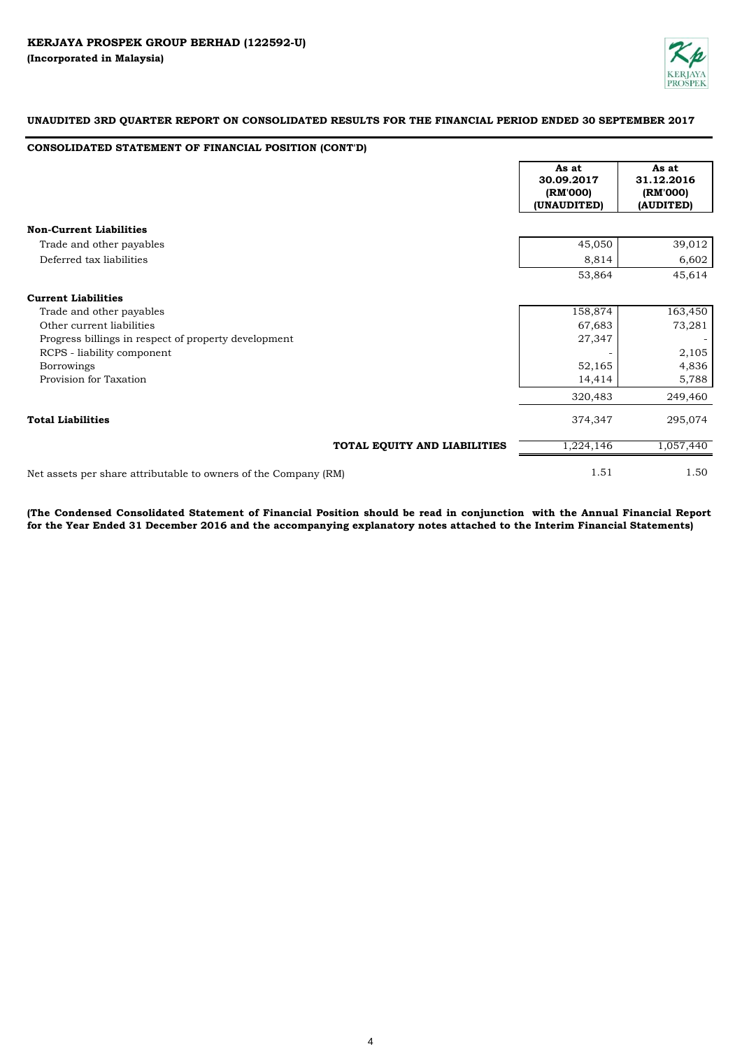

# **CONSOLIDATED STATEMENT OF FINANCIAL POSITION (CONT'D)**

|                                                                 | As at<br>30.09.2017<br>(RM'000)<br>(UNAUDITED) |        | As at<br>31.12.2016<br>(RM'000)<br>(AUDITED) |
|-----------------------------------------------------------------|------------------------------------------------|--------|----------------------------------------------|
| <b>Non-Current Liabilities</b>                                  |                                                |        |                                              |
| Trade and other payables                                        |                                                | 45,050 | 39,012                                       |
| Deferred tax liabilities                                        |                                                | 8,814  | 6,602                                        |
|                                                                 |                                                | 53,864 | 45,614                                       |
| <b>Current Liabilities</b>                                      |                                                |        |                                              |
| Trade and other payables                                        | 158,874                                        |        | 163,450                                      |
| Other current liabilities                                       |                                                | 67,683 | 73,281                                       |
| Progress billings in respect of property development            |                                                | 27,347 |                                              |
| RCPS - liability component                                      |                                                |        | 2,105                                        |
| <b>Borrowings</b>                                               |                                                | 52,165 | 4,836                                        |
| Provision for Taxation                                          |                                                | 14,414 | 5,788                                        |
|                                                                 | 320,483                                        |        | 249,460                                      |
| <b>Total Liabilities</b>                                        | 374,347                                        |        | 295,074                                      |
| TOTAL EQUITY AND LIABILITIES                                    | 1,224,146                                      |        | 1,057,440                                    |
| Net assets per share attributable to owners of the Company (RM) |                                                | 1.51   | 1.50                                         |

(The Condensed Consolidated Statement of Financial Position should be read in conjunction with the Annual Financial Report **for the Year Ended 31 December 2016 and the accompanying explanatory notes attached to the Interim Financial Statements)**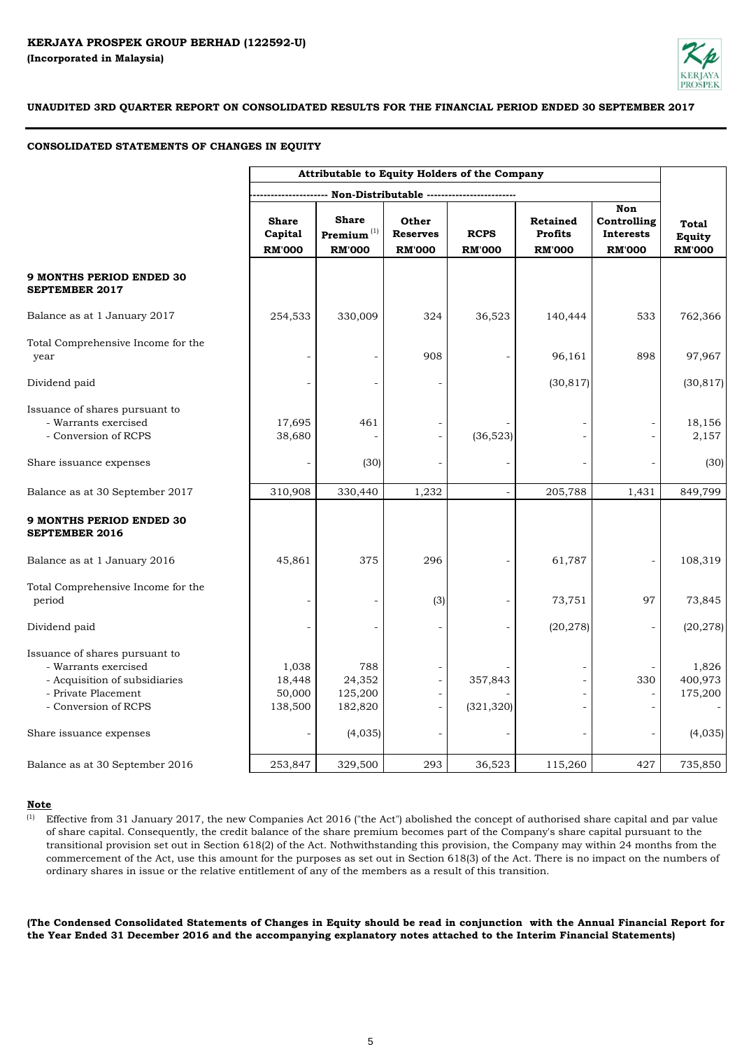

# **CONSOLIDATED STATEMENTS OF CHANGES IN EQUITY**

|                                                                                                                                        | Attributable to Equity Holders of the Company |                                                   |                                                      |                                            |                                             |                                                         |                                         |
|----------------------------------------------------------------------------------------------------------------------------------------|-----------------------------------------------|---------------------------------------------------|------------------------------------------------------|--------------------------------------------|---------------------------------------------|---------------------------------------------------------|-----------------------------------------|
|                                                                                                                                        |                                               |                                                   |                                                      | Non-Distributable ------------------------ |                                             |                                                         |                                         |
|                                                                                                                                        | <b>Share</b><br>Capital<br><b>RM'000</b>      | <b>Share</b><br>Premium $^{(1)}$<br><b>RM'000</b> | Other<br><b>Reserves</b><br><b>RM'000</b>            | <b>RCPS</b><br><b>RM'000</b>               | Retained<br><b>Profits</b><br><b>RM'000</b> | <b>Non</b><br>Controlling<br>Interests<br><b>RM'000</b> | <b>Total</b><br>Equity<br><b>RM'000</b> |
| <b>9 MONTHS PERIOD ENDED 30</b><br><b>SEPTEMBER 2017</b>                                                                               |                                               |                                                   |                                                      |                                            |                                             |                                                         |                                         |
| Balance as at 1 January 2017                                                                                                           | 254,533                                       | 330,009                                           | 324                                                  | 36,523                                     | 140,444                                     | 533                                                     | 762,366                                 |
| Total Comprehensive Income for the<br>year                                                                                             |                                               |                                                   | 908                                                  |                                            | 96,161                                      | 898                                                     | 97,967                                  |
| Dividend paid                                                                                                                          |                                               |                                                   |                                                      |                                            | (30, 817)                                   |                                                         | (30, 817)                               |
| Issuance of shares pursuant to<br>- Warrants exercised<br>- Conversion of RCPS                                                         | 17,695<br>38,680                              | 461                                               |                                                      | (36,523)                                   |                                             |                                                         | 18,156<br>2,157                         |
| Share issuance expenses                                                                                                                |                                               | (30)                                              |                                                      |                                            |                                             |                                                         | (30)                                    |
| Balance as at 30 September 2017                                                                                                        | 310,908                                       | 330,440                                           | 1,232                                                |                                            | 205,788                                     | 1,431                                                   | 849,799                                 |
| <b>9 MONTHS PERIOD ENDED 30</b><br><b>SEPTEMBER 2016</b>                                                                               |                                               |                                                   |                                                      |                                            |                                             |                                                         |                                         |
| Balance as at 1 January 2016                                                                                                           | 45,861                                        | 375                                               | 296                                                  |                                            | 61,787                                      |                                                         | 108,319                                 |
| Total Comprehensive Income for the<br>period                                                                                           |                                               |                                                   | (3)                                                  |                                            | 73,751                                      | 97                                                      | 73,845                                  |
| Dividend paid                                                                                                                          |                                               |                                                   |                                                      |                                            | (20, 278)                                   |                                                         | (20, 278)                               |
| Issuance of shares pursuant to<br>- Warrants exercised<br>- Acquisition of subsidiaries<br>- Private Placement<br>- Conversion of RCPS | 1,038<br>18,448<br>50,000<br>138,500          | 788<br>24,352<br>125,200<br>182,820               | $\overline{\phantom{a}}$<br>$\overline{\phantom{a}}$ | 357,843<br>(321, 320)                      |                                             | 330                                                     | 1,826<br>400,973<br>175,200             |
| Share issuance expenses                                                                                                                |                                               | (4,035)                                           |                                                      |                                            |                                             |                                                         | (4,035)                                 |
| Balance as at 30 September 2016                                                                                                        | 253,847                                       | 329,500                                           | 293                                                  | 36,523                                     | 115,260                                     | 427                                                     | 735,850                                 |

## **Note**

(1) Effective from 31 January 2017, the new Companies Act 2016 ("the Act") abolished the concept of authorised share capital and par value of share capital. Consequently, the credit balance of the share premium becomes part of the Company's share capital pursuant to the transitional provision set out in Section 618(2) of the Act. Nothwithstanding this provision, the Company may within 24 months from the commercement of the Act, use this amount for the purposes as set out in Section 618(3) of the Act. There is no impact on the numbers of ordinary shares in issue or the relative entitlement of any of the members as a result of this transition.

(The Condensed Consolidated Statements of Changes in Equity should be read in conjunction with the Annual Financial Report for **the Year Ended 31 December 2016 and the accompanying explanatory notes attached to the Interim Financial Statements)**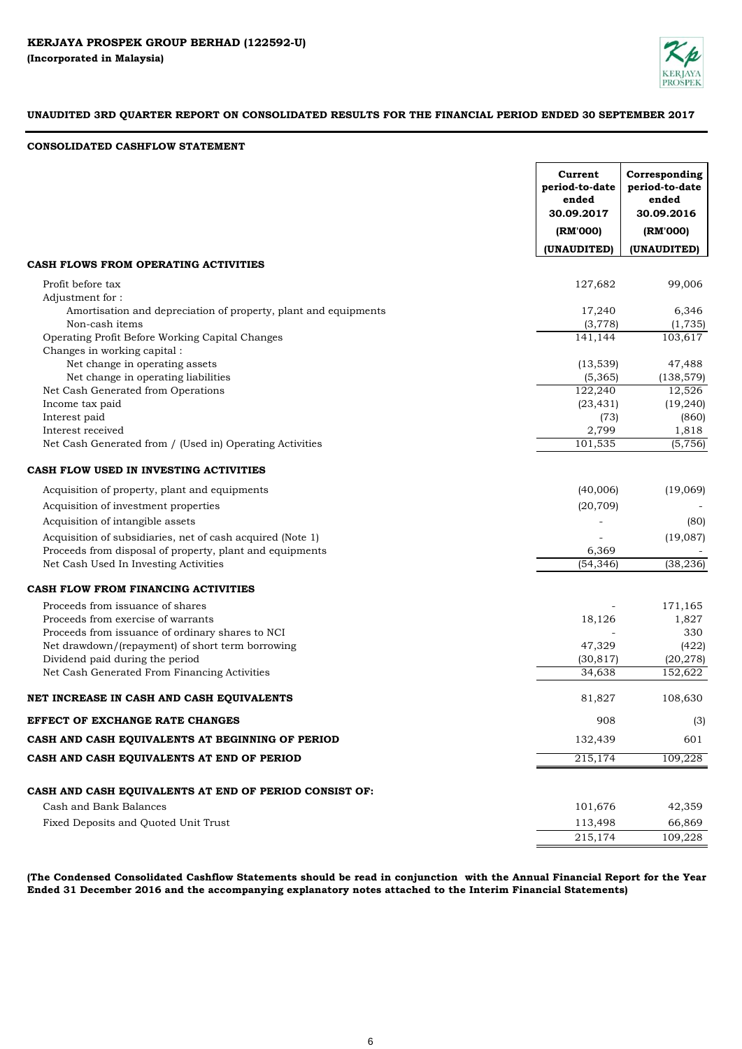

# **CONSOLIDATED CASHFLOW STATEMENT**

| (UNAUDITED)<br>(UNAUDITED)<br>CASH FLOWS FROM OPERATING ACTIVITIES<br>127,682<br>99,006<br>Profit before tax<br>Adjustment for:<br>6,346<br>Amortisation and depreciation of property, plant and equipments<br>17,240<br>Non-cash items<br>(3,778)<br>(1, 735)<br>Operating Profit Before Working Capital Changes<br>141,144<br>103,617<br>Changes in working capital :<br>Net change in operating assets<br>(13, 539)<br>47,488<br>Net change in operating liabilities<br>(5,365)<br>(138, 579)<br>Net Cash Generated from Operations<br>122,240<br>12,526<br>Income tax paid<br>(23, 431)<br>(19, 240)<br>Interest paid<br>(73)<br>(860)<br>Interest received<br>2,799<br>1,818<br>101,535<br>Net Cash Generated from / (Used in) Operating Activities<br>(5, 756)<br>CASH FLOW USED IN INVESTING ACTIVITIES<br>Acquisition of property, plant and equipments<br>(40,006)<br>(19,069)<br>(20, 709)<br>Acquisition of investment properties<br>Acquisition of intangible assets<br>(80)<br>Acquisition of subsidiaries, net of cash acquired (Note 1)<br>(19,087)<br>Proceeds from disposal of property, plant and equipments<br>6,369<br>Net Cash Used In Investing Activities<br>(54, 346)<br>(38, 236)<br>CASH FLOW FROM FINANCING ACTIVITIES<br>171,165<br>Proceeds from issuance of shares<br>Proceeds from exercise of warrants<br>18,126<br>1,827<br>Proceeds from issuance of ordinary shares to NCI<br>330<br>Net drawdown/(repayment) of short term borrowing<br>47,329<br>(422)<br>Dividend paid during the period<br>(30, 817)<br>(20, 278)<br>Net Cash Generated From Financing Activities<br>34,638<br>152,622<br>NET INCREASE IN CASH AND CASH EQUIVALENTS<br>81,827<br>108,630<br>EFFECT OF EXCHANGE RATE CHANGES<br>908<br>(3)<br>132,439<br>CASH AND CASH EQUIVALENTS AT BEGINNING OF PERIOD<br>601<br>215,174<br>CASH AND CASH EQUIVALENTS AT END OF PERIOD<br>109,228<br>CASH AND CASH EQUIVALENTS AT END OF PERIOD CONSIST OF:<br>Cash and Bank Balances<br>101,676<br>42,359<br>113,498<br>66,869<br>Fixed Deposits and Quoted Unit Trust<br>215,174<br>109,228 | Current<br>period-to-date<br>ended<br>30.09.2017<br>(RM'000) | Corresponding<br>period-to-date<br>ended<br>30.09.2016<br>(RM'000) |
|----------------------------------------------------------------------------------------------------------------------------------------------------------------------------------------------------------------------------------------------------------------------------------------------------------------------------------------------------------------------------------------------------------------------------------------------------------------------------------------------------------------------------------------------------------------------------------------------------------------------------------------------------------------------------------------------------------------------------------------------------------------------------------------------------------------------------------------------------------------------------------------------------------------------------------------------------------------------------------------------------------------------------------------------------------------------------------------------------------------------------------------------------------------------------------------------------------------------------------------------------------------------------------------------------------------------------------------------------------------------------------------------------------------------------------------------------------------------------------------------------------------------------------------------------------------------------------------------------------------------------------------------------------------------------------------------------------------------------------------------------------------------------------------------------------------------------------------------------------------------------------------------------------------------------------------------------------------------------------------------------------------------------------------------------------------------------------------|--------------------------------------------------------------|--------------------------------------------------------------------|
|                                                                                                                                                                                                                                                                                                                                                                                                                                                                                                                                                                                                                                                                                                                                                                                                                                                                                                                                                                                                                                                                                                                                                                                                                                                                                                                                                                                                                                                                                                                                                                                                                                                                                                                                                                                                                                                                                                                                                                                                                                                                                        |                                                              |                                                                    |
|                                                                                                                                                                                                                                                                                                                                                                                                                                                                                                                                                                                                                                                                                                                                                                                                                                                                                                                                                                                                                                                                                                                                                                                                                                                                                                                                                                                                                                                                                                                                                                                                                                                                                                                                                                                                                                                                                                                                                                                                                                                                                        |                                                              |                                                                    |
|                                                                                                                                                                                                                                                                                                                                                                                                                                                                                                                                                                                                                                                                                                                                                                                                                                                                                                                                                                                                                                                                                                                                                                                                                                                                                                                                                                                                                                                                                                                                                                                                                                                                                                                                                                                                                                                                                                                                                                                                                                                                                        |                                                              |                                                                    |
|                                                                                                                                                                                                                                                                                                                                                                                                                                                                                                                                                                                                                                                                                                                                                                                                                                                                                                                                                                                                                                                                                                                                                                                                                                                                                                                                                                                                                                                                                                                                                                                                                                                                                                                                                                                                                                                                                                                                                                                                                                                                                        |                                                              |                                                                    |
|                                                                                                                                                                                                                                                                                                                                                                                                                                                                                                                                                                                                                                                                                                                                                                                                                                                                                                                                                                                                                                                                                                                                                                                                                                                                                                                                                                                                                                                                                                                                                                                                                                                                                                                                                                                                                                                                                                                                                                                                                                                                                        |                                                              |                                                                    |
|                                                                                                                                                                                                                                                                                                                                                                                                                                                                                                                                                                                                                                                                                                                                                                                                                                                                                                                                                                                                                                                                                                                                                                                                                                                                                                                                                                                                                                                                                                                                                                                                                                                                                                                                                                                                                                                                                                                                                                                                                                                                                        |                                                              |                                                                    |
|                                                                                                                                                                                                                                                                                                                                                                                                                                                                                                                                                                                                                                                                                                                                                                                                                                                                                                                                                                                                                                                                                                                                                                                                                                                                                                                                                                                                                                                                                                                                                                                                                                                                                                                                                                                                                                                                                                                                                                                                                                                                                        |                                                              |                                                                    |
|                                                                                                                                                                                                                                                                                                                                                                                                                                                                                                                                                                                                                                                                                                                                                                                                                                                                                                                                                                                                                                                                                                                                                                                                                                                                                                                                                                                                                                                                                                                                                                                                                                                                                                                                                                                                                                                                                                                                                                                                                                                                                        |                                                              |                                                                    |
|                                                                                                                                                                                                                                                                                                                                                                                                                                                                                                                                                                                                                                                                                                                                                                                                                                                                                                                                                                                                                                                                                                                                                                                                                                                                                                                                                                                                                                                                                                                                                                                                                                                                                                                                                                                                                                                                                                                                                                                                                                                                                        |                                                              |                                                                    |
|                                                                                                                                                                                                                                                                                                                                                                                                                                                                                                                                                                                                                                                                                                                                                                                                                                                                                                                                                                                                                                                                                                                                                                                                                                                                                                                                                                                                                                                                                                                                                                                                                                                                                                                                                                                                                                                                                                                                                                                                                                                                                        |                                                              |                                                                    |
|                                                                                                                                                                                                                                                                                                                                                                                                                                                                                                                                                                                                                                                                                                                                                                                                                                                                                                                                                                                                                                                                                                                                                                                                                                                                                                                                                                                                                                                                                                                                                                                                                                                                                                                                                                                                                                                                                                                                                                                                                                                                                        |                                                              |                                                                    |
|                                                                                                                                                                                                                                                                                                                                                                                                                                                                                                                                                                                                                                                                                                                                                                                                                                                                                                                                                                                                                                                                                                                                                                                                                                                                                                                                                                                                                                                                                                                                                                                                                                                                                                                                                                                                                                                                                                                                                                                                                                                                                        |                                                              |                                                                    |
|                                                                                                                                                                                                                                                                                                                                                                                                                                                                                                                                                                                                                                                                                                                                                                                                                                                                                                                                                                                                                                                                                                                                                                                                                                                                                                                                                                                                                                                                                                                                                                                                                                                                                                                                                                                                                                                                                                                                                                                                                                                                                        |                                                              |                                                                    |
|                                                                                                                                                                                                                                                                                                                                                                                                                                                                                                                                                                                                                                                                                                                                                                                                                                                                                                                                                                                                                                                                                                                                                                                                                                                                                                                                                                                                                                                                                                                                                                                                                                                                                                                                                                                                                                                                                                                                                                                                                                                                                        |                                                              |                                                                    |
|                                                                                                                                                                                                                                                                                                                                                                                                                                                                                                                                                                                                                                                                                                                                                                                                                                                                                                                                                                                                                                                                                                                                                                                                                                                                                                                                                                                                                                                                                                                                                                                                                                                                                                                                                                                                                                                                                                                                                                                                                                                                                        |                                                              |                                                                    |
|                                                                                                                                                                                                                                                                                                                                                                                                                                                                                                                                                                                                                                                                                                                                                                                                                                                                                                                                                                                                                                                                                                                                                                                                                                                                                                                                                                                                                                                                                                                                                                                                                                                                                                                                                                                                                                                                                                                                                                                                                                                                                        |                                                              |                                                                    |
|                                                                                                                                                                                                                                                                                                                                                                                                                                                                                                                                                                                                                                                                                                                                                                                                                                                                                                                                                                                                                                                                                                                                                                                                                                                                                                                                                                                                                                                                                                                                                                                                                                                                                                                                                                                                                                                                                                                                                                                                                                                                                        |                                                              |                                                                    |
|                                                                                                                                                                                                                                                                                                                                                                                                                                                                                                                                                                                                                                                                                                                                                                                                                                                                                                                                                                                                                                                                                                                                                                                                                                                                                                                                                                                                                                                                                                                                                                                                                                                                                                                                                                                                                                                                                                                                                                                                                                                                                        |                                                              |                                                                    |
|                                                                                                                                                                                                                                                                                                                                                                                                                                                                                                                                                                                                                                                                                                                                                                                                                                                                                                                                                                                                                                                                                                                                                                                                                                                                                                                                                                                                                                                                                                                                                                                                                                                                                                                                                                                                                                                                                                                                                                                                                                                                                        |                                                              |                                                                    |
|                                                                                                                                                                                                                                                                                                                                                                                                                                                                                                                                                                                                                                                                                                                                                                                                                                                                                                                                                                                                                                                                                                                                                                                                                                                                                                                                                                                                                                                                                                                                                                                                                                                                                                                                                                                                                                                                                                                                                                                                                                                                                        |                                                              |                                                                    |
|                                                                                                                                                                                                                                                                                                                                                                                                                                                                                                                                                                                                                                                                                                                                                                                                                                                                                                                                                                                                                                                                                                                                                                                                                                                                                                                                                                                                                                                                                                                                                                                                                                                                                                                                                                                                                                                                                                                                                                                                                                                                                        |                                                              |                                                                    |
|                                                                                                                                                                                                                                                                                                                                                                                                                                                                                                                                                                                                                                                                                                                                                                                                                                                                                                                                                                                                                                                                                                                                                                                                                                                                                                                                                                                                                                                                                                                                                                                                                                                                                                                                                                                                                                                                                                                                                                                                                                                                                        |                                                              |                                                                    |
|                                                                                                                                                                                                                                                                                                                                                                                                                                                                                                                                                                                                                                                                                                                                                                                                                                                                                                                                                                                                                                                                                                                                                                                                                                                                                                                                                                                                                                                                                                                                                                                                                                                                                                                                                                                                                                                                                                                                                                                                                                                                                        |                                                              |                                                                    |
|                                                                                                                                                                                                                                                                                                                                                                                                                                                                                                                                                                                                                                                                                                                                                                                                                                                                                                                                                                                                                                                                                                                                                                                                                                                                                                                                                                                                                                                                                                                                                                                                                                                                                                                                                                                                                                                                                                                                                                                                                                                                                        |                                                              |                                                                    |
|                                                                                                                                                                                                                                                                                                                                                                                                                                                                                                                                                                                                                                                                                                                                                                                                                                                                                                                                                                                                                                                                                                                                                                                                                                                                                                                                                                                                                                                                                                                                                                                                                                                                                                                                                                                                                                                                                                                                                                                                                                                                                        |                                                              |                                                                    |
|                                                                                                                                                                                                                                                                                                                                                                                                                                                                                                                                                                                                                                                                                                                                                                                                                                                                                                                                                                                                                                                                                                                                                                                                                                                                                                                                                                                                                                                                                                                                                                                                                                                                                                                                                                                                                                                                                                                                                                                                                                                                                        |                                                              |                                                                    |
|                                                                                                                                                                                                                                                                                                                                                                                                                                                                                                                                                                                                                                                                                                                                                                                                                                                                                                                                                                                                                                                                                                                                                                                                                                                                                                                                                                                                                                                                                                                                                                                                                                                                                                                                                                                                                                                                                                                                                                                                                                                                                        |                                                              |                                                                    |
|                                                                                                                                                                                                                                                                                                                                                                                                                                                                                                                                                                                                                                                                                                                                                                                                                                                                                                                                                                                                                                                                                                                                                                                                                                                                                                                                                                                                                                                                                                                                                                                                                                                                                                                                                                                                                                                                                                                                                                                                                                                                                        |                                                              |                                                                    |
|                                                                                                                                                                                                                                                                                                                                                                                                                                                                                                                                                                                                                                                                                                                                                                                                                                                                                                                                                                                                                                                                                                                                                                                                                                                                                                                                                                                                                                                                                                                                                                                                                                                                                                                                                                                                                                                                                                                                                                                                                                                                                        |                                                              |                                                                    |
|                                                                                                                                                                                                                                                                                                                                                                                                                                                                                                                                                                                                                                                                                                                                                                                                                                                                                                                                                                                                                                                                                                                                                                                                                                                                                                                                                                                                                                                                                                                                                                                                                                                                                                                                                                                                                                                                                                                                                                                                                                                                                        |                                                              |                                                                    |
|                                                                                                                                                                                                                                                                                                                                                                                                                                                                                                                                                                                                                                                                                                                                                                                                                                                                                                                                                                                                                                                                                                                                                                                                                                                                                                                                                                                                                                                                                                                                                                                                                                                                                                                                                                                                                                                                                                                                                                                                                                                                                        |                                                              |                                                                    |
|                                                                                                                                                                                                                                                                                                                                                                                                                                                                                                                                                                                                                                                                                                                                                                                                                                                                                                                                                                                                                                                                                                                                                                                                                                                                                                                                                                                                                                                                                                                                                                                                                                                                                                                                                                                                                                                                                                                                                                                                                                                                                        |                                                              |                                                                    |
|                                                                                                                                                                                                                                                                                                                                                                                                                                                                                                                                                                                                                                                                                                                                                                                                                                                                                                                                                                                                                                                                                                                                                                                                                                                                                                                                                                                                                                                                                                                                                                                                                                                                                                                                                                                                                                                                                                                                                                                                                                                                                        |                                                              |                                                                    |
|                                                                                                                                                                                                                                                                                                                                                                                                                                                                                                                                                                                                                                                                                                                                                                                                                                                                                                                                                                                                                                                                                                                                                                                                                                                                                                                                                                                                                                                                                                                                                                                                                                                                                                                                                                                                                                                                                                                                                                                                                                                                                        |                                                              |                                                                    |
|                                                                                                                                                                                                                                                                                                                                                                                                                                                                                                                                                                                                                                                                                                                                                                                                                                                                                                                                                                                                                                                                                                                                                                                                                                                                                                                                                                                                                                                                                                                                                                                                                                                                                                                                                                                                                                                                                                                                                                                                                                                                                        |                                                              |                                                                    |
|                                                                                                                                                                                                                                                                                                                                                                                                                                                                                                                                                                                                                                                                                                                                                                                                                                                                                                                                                                                                                                                                                                                                                                                                                                                                                                                                                                                                                                                                                                                                                                                                                                                                                                                                                                                                                                                                                                                                                                                                                                                                                        |                                                              |                                                                    |

(The Condensed Consolidated Cashflow Statements should be read in conjunction with the Annual Financial Report for the Year **Ended 31 December 2016 and the accompanying explanatory notes attached to the Interim Financial Statements)**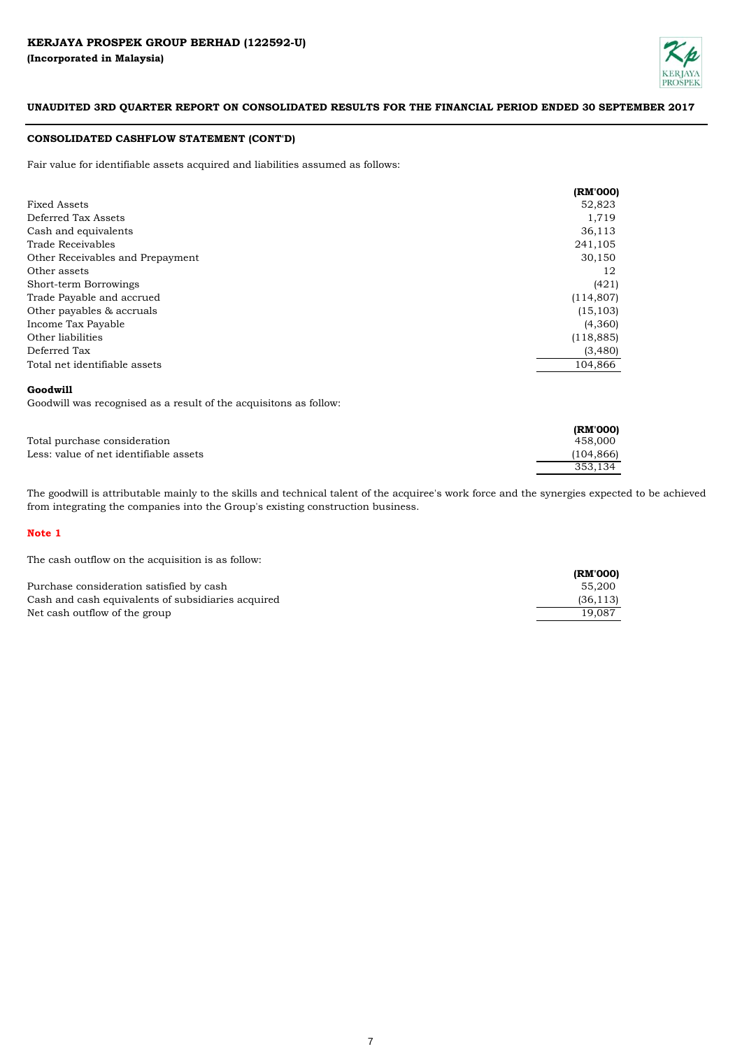

# **CONSOLIDATED CASHFLOW STATEMENT (CONT'D)**

Fair value for identifiable assets acquired and liabilities assumed as follows:

|                                  | (RM'000)   |
|----------------------------------|------------|
| <b>Fixed Assets</b>              | 52,823     |
| Deferred Tax Assets              | 1,719      |
| Cash and equivalents             | 36,113     |
| Trade Receivables                | 241,105    |
| Other Receivables and Prepayment | 30,150     |
| Other assets                     | 12         |
| Short-term Borrowings            | (421)      |
| Trade Payable and accrued        | (114, 807) |
| Other payables & accruals        | (15, 103)  |
| Income Tax Payable               | (4,360)    |
| Other liabilities                | (118, 885) |
| Deferred Tax                     | (3,480)    |
| Total net identifiable assets    | 104,866    |

# **Goodwill**

Goodwill was recognised as a result of the acquisitons as follow:

|                                        | (RM'000)   |
|----------------------------------------|------------|
| Total purchase consideration           | 458,000    |
| Less: value of net identifiable assets | (104, 866) |
|                                        | 353,134    |

The goodwill is attributable mainly to the skills and technical talent of the acquiree's work force and the synergies expected to be achieved from integrating the companies into the Group's existing construction business.

# **Note 1**

The cash outflow on the acquisition is as follow:

|                                                    | (RM'000)  |
|----------------------------------------------------|-----------|
| Purchase consideration satisfied by cash           | 55.200    |
| Cash and cash equivalents of subsidiaries acquired | (36, 113) |
| Net cash outflow of the group                      | 19.087    |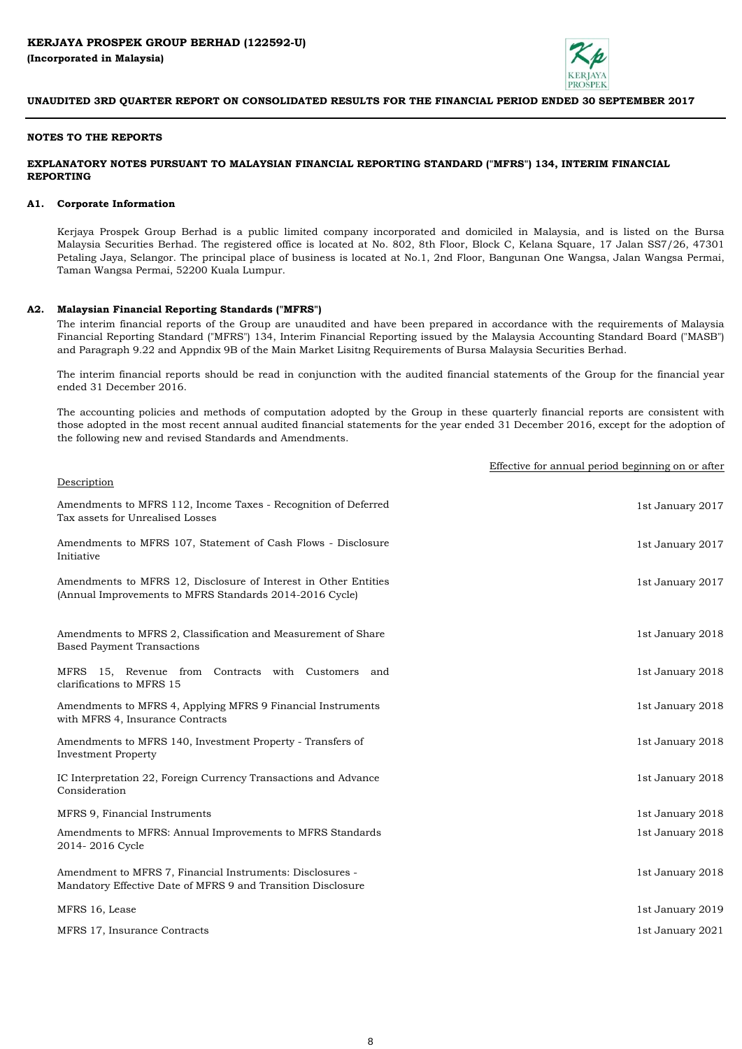

### **NOTES TO THE REPORTS**

# **EXPLANATORY NOTES PURSUANT TO MALAYSIAN FINANCIAL REPORTING STANDARD ("MFRS") 134, INTERIM FINANCIAL REPORTING**

### **A1. Corporate Information**

Kerjaya Prospek Group Berhad is a public limited company incorporated and domiciled in Malaysia, and is listed on the Bursa Malaysia Securities Berhad. The registered office is located at No. 802, 8th Floor, Block C, Kelana Square, 17 Jalan SS7/26, 47301 Petaling Jaya, Selangor. The principal place of business is located at No.1, 2nd Floor, Bangunan One Wangsa, Jalan Wangsa Permai, Taman Wangsa Permai, 52200 Kuala Lumpur.

### **A2. Malaysian Financial Reporting Standards ("MFRS")**

The interim financial reports of the Group are unaudited and have been prepared in accordance with the requirements of Malaysia Financial Reporting Standard ("MFRS") 134, Interim Financial Reporting issued by the Malaysia Accounting Standard Board ("MASB") and Paragraph 9.22 and Appndix 9B of the Main Market Lisitng Requirements of Bursa Malaysia Securities Berhad.

The interim financial reports should be read in conjunction with the audited financial statements of the Group for the financial year ended 31 December 2016.

The accounting policies and methods of computation adopted by the Group in these quarterly financial reports are consistent with those adopted in the most recent annual audited financial statements for the year ended 31 December 2016, except for the adoption of the following new and revised Standards and Amendments.

|                                                                                                                            | Effective for annual period beginning on or after |
|----------------------------------------------------------------------------------------------------------------------------|---------------------------------------------------|
| Description                                                                                                                |                                                   |
| Amendments to MFRS 112, Income Taxes - Recognition of Deferred<br>Tax assets for Unrealised Losses                         | 1st January 2017                                  |
| Amendments to MFRS 107, Statement of Cash Flows - Disclosure<br>Initiative                                                 | 1st January 2017                                  |
| Amendments to MFRS 12, Disclosure of Interest in Other Entities<br>(Annual Improvements to MFRS Standards 2014-2016 Cycle) | 1st January 2017                                  |
| Amendments to MFRS 2, Classification and Measurement of Share<br><b>Based Payment Transactions</b>                         | 1st January 2018                                  |
| MFRS 15, Revenue from Contracts with Customers and<br>clarifications to MFRS 15                                            | 1st January 2018                                  |
| Amendments to MFRS 4, Applying MFRS 9 Financial Instruments<br>with MFRS 4, Insurance Contracts                            | 1st January 2018                                  |
| Amendments to MFRS 140, Investment Property - Transfers of<br><b>Investment Property</b>                                   | 1st January 2018                                  |
| IC Interpretation 22, Foreign Currency Transactions and Advance<br>Consideration                                           | 1st January 2018                                  |
| MFRS 9, Financial Instruments                                                                                              | 1st January 2018                                  |
| Amendments to MFRS: Annual Improvements to MFRS Standards<br>2014-2016 Cycle                                               | 1st January 2018                                  |
| Amendment to MFRS 7, Financial Instruments: Disclosures -<br>Mandatory Effective Date of MFRS 9 and Transition Disclosure  | 1st January 2018                                  |
| MFRS 16, Lease                                                                                                             | 1st January 2019                                  |
| MFRS 17, Insurance Contracts                                                                                               | 1st January 2021                                  |
|                                                                                                                            |                                                   |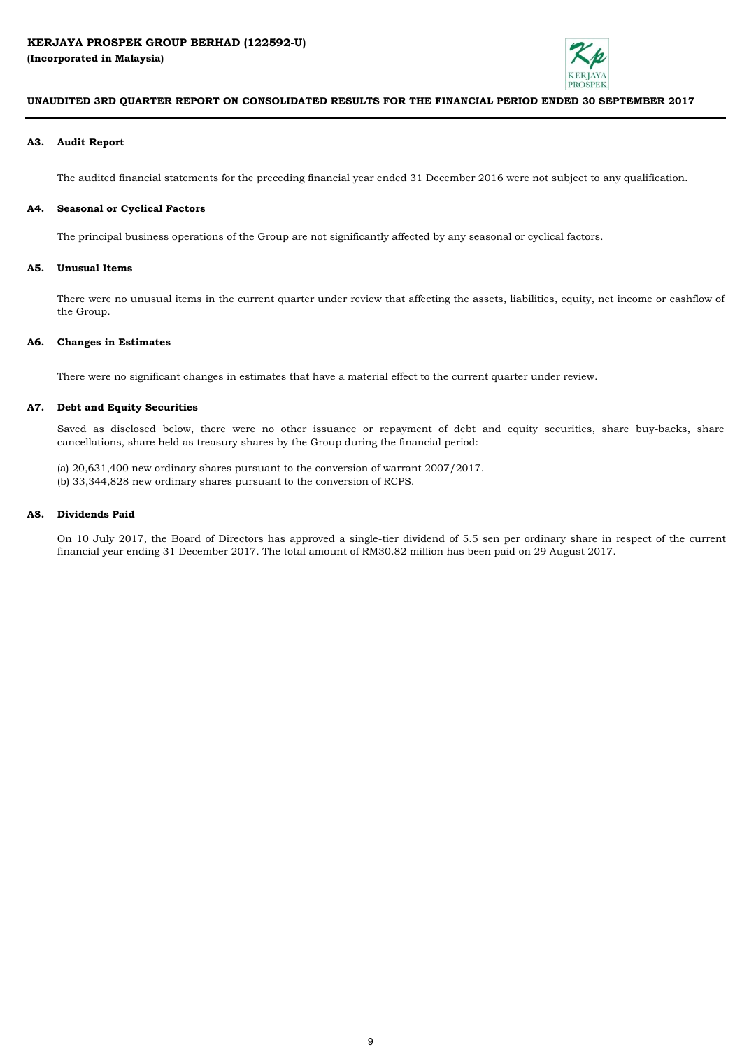

## **A3. Audit Report**

The audited financial statements for the preceding financial year ended 31 December 2016 were not subject to any qualification.

#### **A4. Seasonal or Cyclical Factors**

The principal business operations of the Group are not significantly affected by any seasonal or cyclical factors.

## **A5. Unusual Items**

There were no unusual items in the current quarter under review that affecting the assets, liabilities, equity, net income or cashflow of the Group.

#### **A6. Changes in Estimates**

There were no significant changes in estimates that have a material effect to the current quarter under review.

# **A7. Debt and Equity Securities**

Saved as disclosed below, there were no other issuance or repayment of debt and equity securities, share buy-backs, share cancellations, share held as treasury shares by the Group during the financial period:-

(a) 20,631,400 new ordinary shares pursuant to the conversion of warrant 2007/2017. (b) 33,344,828 new ordinary shares pursuant to the conversion of RCPS.

#### **A8. Dividends Paid**

On 10 July 2017, the Board of Directors has approved a single-tier dividend of 5.5 sen per ordinary share in respect of the current financial year ending 31 December 2017. The total amount of RM30.82 million has been paid on 29 August 2017.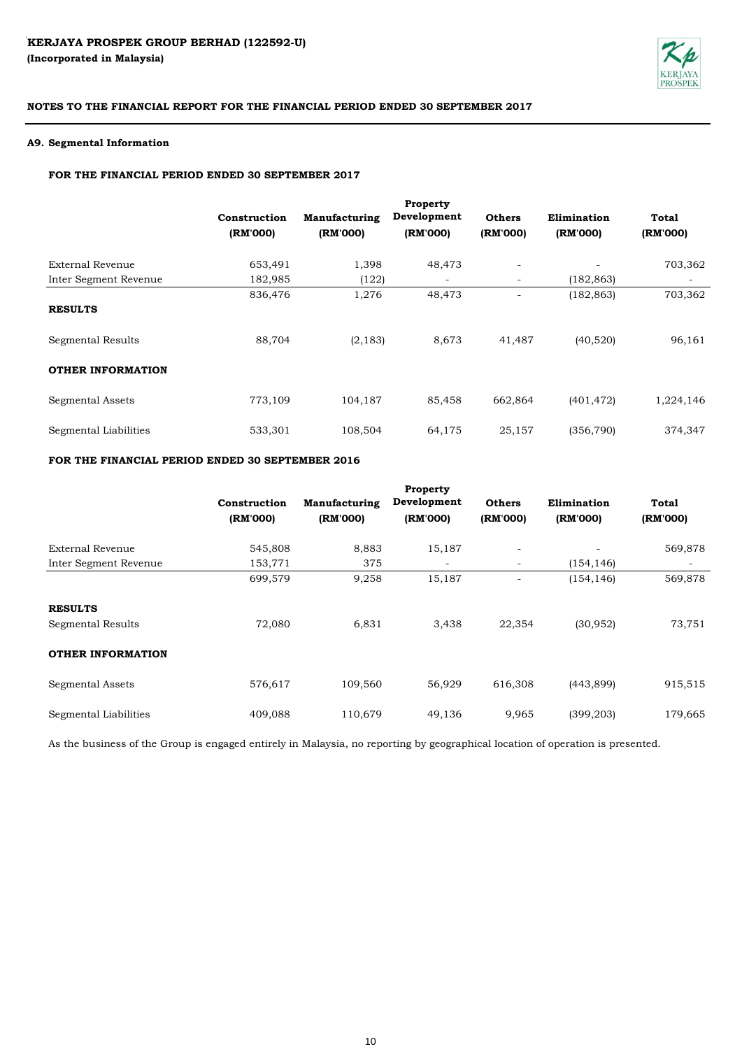

## **A9. Segmental Information**

# **FOR THE FINANCIAL PERIOD ENDED 30 SEPTEMBER 2017**

|                          | Construction<br>(RM'000) | Manufacturing<br>(RM'000) | Property<br>Development<br>(RM'000) | <b>Others</b><br>(RM'000) | Elimination<br>(RM'000) | <b>Total</b><br>(RM'000) |
|--------------------------|--------------------------|---------------------------|-------------------------------------|---------------------------|-------------------------|--------------------------|
| <b>External Revenue</b>  | 653,491                  | 1,398                     | 48,473                              | $\overline{\phantom{a}}$  |                         | 703,362                  |
| Inter Segment Revenue    | 182,985                  | (122)                     | $\overline{\phantom{a}}$            | $\overline{\phantom{a}}$  | (182, 863)              | $\overline{\phantom{a}}$ |
| <b>RESULTS</b>           | 836,476                  | 1,276                     | 48,473                              | $\overline{\phantom{a}}$  | (182, 863)              | 703,362                  |
| Segmental Results        | 88,704                   | (2, 183)                  | 8,673                               | 41,487                    | (40,520)                | 96,161                   |
| <b>OTHER INFORMATION</b> |                          |                           |                                     |                           |                         |                          |
| <b>Segmental Assets</b>  | 773,109                  | 104,187                   | 85,458                              | 662,864                   | (401, 472)              | 1,224,146                |
| Segmental Liabilities    | 533,301                  | 108,504                   | 64,175                              | 25,157                    | (356, 790)              | 374,347                  |

# **FOR THE FINANCIAL PERIOD ENDED 30 SEPTEMBER 2016**

|                          |              |                      | Property                 |                          |             |          |
|--------------------------|--------------|----------------------|--------------------------|--------------------------|-------------|----------|
|                          | Construction | <b>Manufacturing</b> | Development              | <b>Others</b>            | Elimination | Total    |
|                          | (RM'000)     | (RM'000)             | (RM'000)                 | (RM'000)                 | (RM'000)    | (RM'000) |
| <b>External Revenue</b>  | 545,808      | 8,883                | 15,187                   | $\overline{\phantom{a}}$ |             | 569,878  |
| Inter Segment Revenue    | 153,771      | 375                  | $\overline{\phantom{a}}$ | $\overline{\phantom{a}}$ | (154, 146)  |          |
|                          | 699,579      | 9,258                | 15,187                   |                          | (154, 146)  | 569,878  |
| <b>RESULTS</b>           |              |                      |                          |                          |             |          |
| Segmental Results        | 72,080       | 6,831                | 3,438                    | 22,354                   | (30, 952)   | 73,751   |
| <b>OTHER INFORMATION</b> |              |                      |                          |                          |             |          |
| <b>Segmental Assets</b>  | 576,617      | 109,560              | 56,929                   | 616,308                  | (443, 899)  | 915,515  |
| Segmental Liabilities    | 409,088      | 110,679              | 49,136                   | 9,965                    | (399, 203)  | 179,665  |

As the business of the Group is engaged entirely in Malaysia, no reporting by geographical location of operation is presented.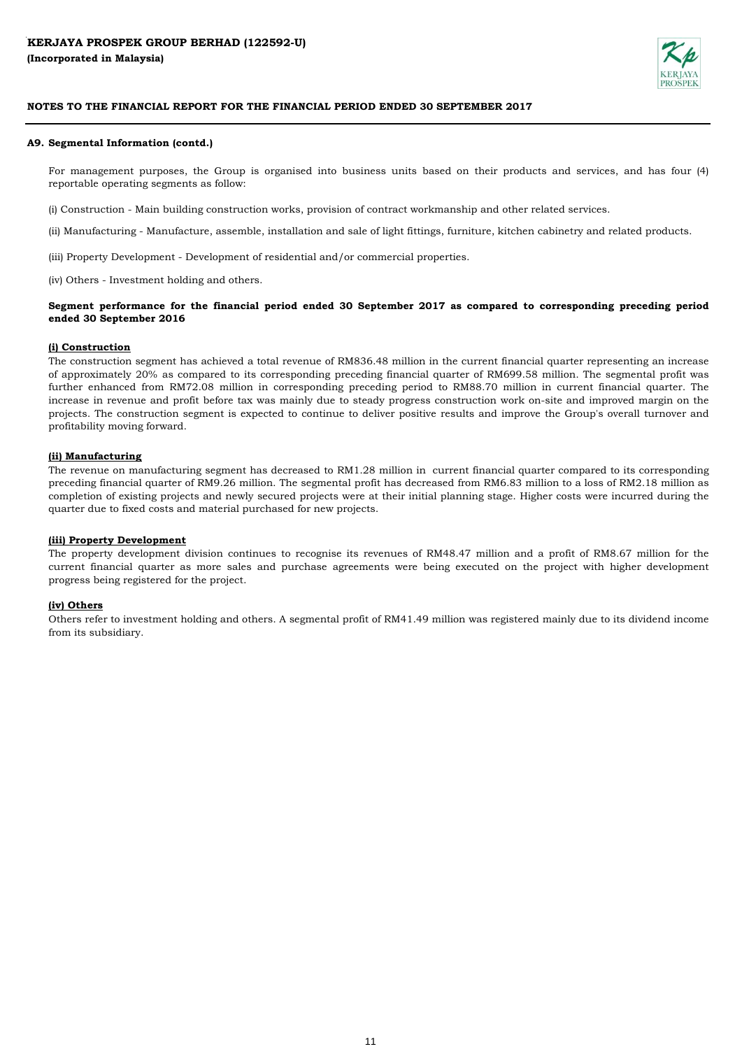

## **A9. Segmental Information (contd.)**

For management purposes, the Group is organised into business units based on their products and services, and has four (4) reportable operating segments as follow:

(i) Construction - Main building construction works, provision of contract workmanship and other related services.

(ii) Manufacturing - Manufacture, assemble, installation and sale of light fittings, furniture, kitchen cabinetry and related products.

(iii) Property Development - Development of residential and/or commercial properties.

(iv) Others - Investment holding and others.

# Segment performance for the financial period ended 30 September 2017 as compared to corresponding preceding period **ended 30 September 2016**

### **(i) Construction**

The construction segment has achieved a total revenue of RM836.48 million in the current financial quarter representing an increase of approximately 20% as compared to its corresponding preceding financial quarter of RM699.58 million. The segmental profit was further enhanced from RM72.08 million in corresponding preceding period to RM88.70 million in current financial quarter. The increase in revenue and profit before tax was mainly due to steady progress construction work on-site and improved margin on the projects. The construction segment is expected to continue to deliver positive results and improve the Group's overall turnover and profitability moving forward.

## **(ii) Manufacturing**

The revenue on manufacturing segment has decreased to RM1.28 million in current financial quarter compared to its corresponding preceding financial quarter of RM9.26 million. The segmental profit has decreased from RM6.83 million to a loss of RM2.18 million as completion of existing projects and newly secured projects were at their initial planning stage. Higher costs were incurred during the quarter due to fixed costs and material purchased for new projects.

## **(iii) Property Development**

The property development division continues to recognise its revenues of RM48.47 million and a profit of RM8.67 million for the current financial quarter as more sales and purchase agreements were being executed on the project with higher development progress being registered for the project.

## **(iv) Others**

Others refer to investment holding and others. A segmental profit of RM41.49 million was registered mainly due to its dividend income from its subsidiary.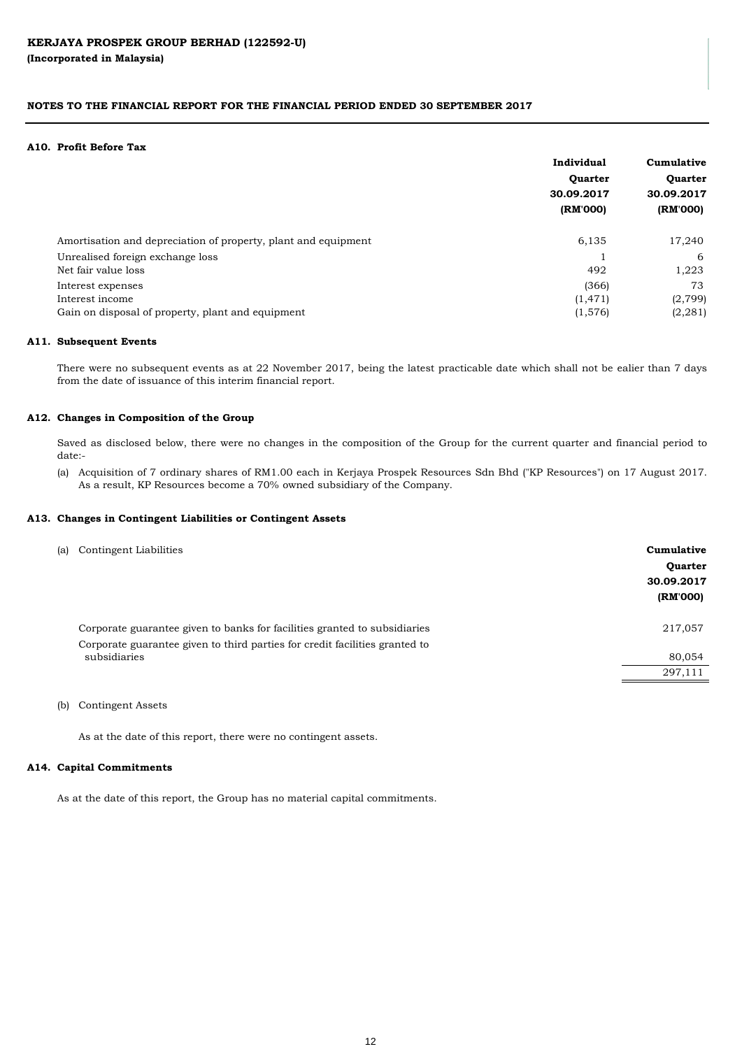#### **A10. Profit Before Tax**

|                                                                | Individual | Cumulative<br>Quarter<br>30.09.2017 |  |
|----------------------------------------------------------------|------------|-------------------------------------|--|
|                                                                | Quarter    |                                     |  |
|                                                                | 30.09.2017 |                                     |  |
|                                                                | (RM'000)   | (RM'000)                            |  |
| Amortisation and depreciation of property, plant and equipment | 6,135      | 17,240                              |  |
| Unrealised foreign exchange loss                               |            | -6                                  |  |
| Net fair value loss                                            | 492        | 1,223                               |  |
| Interest expenses                                              | (366)      | 73                                  |  |
| Interest income                                                | (1, 471)   | (2,799)                             |  |
| Gain on disposal of property, plant and equipment              | (1,576)    | (2, 281)                            |  |

### **A11. Subsequent Events**

There were no subsequent events as at 22 November 2017, being the latest practicable date which shall not be ealier than 7 days from the date of issuance of this interim financial report.

### **A12. Changes in Composition of the Group**

Saved as disclosed below, there were no changes in the composition of the Group for the current quarter and financial period to date:-

(a) Acquisition of 7 ordinary shares of RM1.00 each in Kerjaya Prospek Resources Sdn Bhd ("KP Resources") on 17 August 2017. As a result, KP Resources become a 70% owned subsidiary of the Company.

### **A13. Changes in Contingent Liabilities or Contingent Assets**

| (a) Contingent Liabilities                                                  | Cumulative<br>Quarter<br>30.09.2017<br>(RM'000) |
|-----------------------------------------------------------------------------|-------------------------------------------------|
| Corporate guarantee given to banks for facilities granted to subsidiaries   | 217,057                                         |
| Corporate guarantee given to third parties for credit facilities granted to |                                                 |
| subsidiaries                                                                | 80,054                                          |
|                                                                             | 297,111                                         |
|                                                                             |                                                 |

(b) Contingent Assets

As at the date of this report, there were no contingent assets.

#### **A14. Capital Commitments**

As at the date of this report, the Group has no material capital commitments.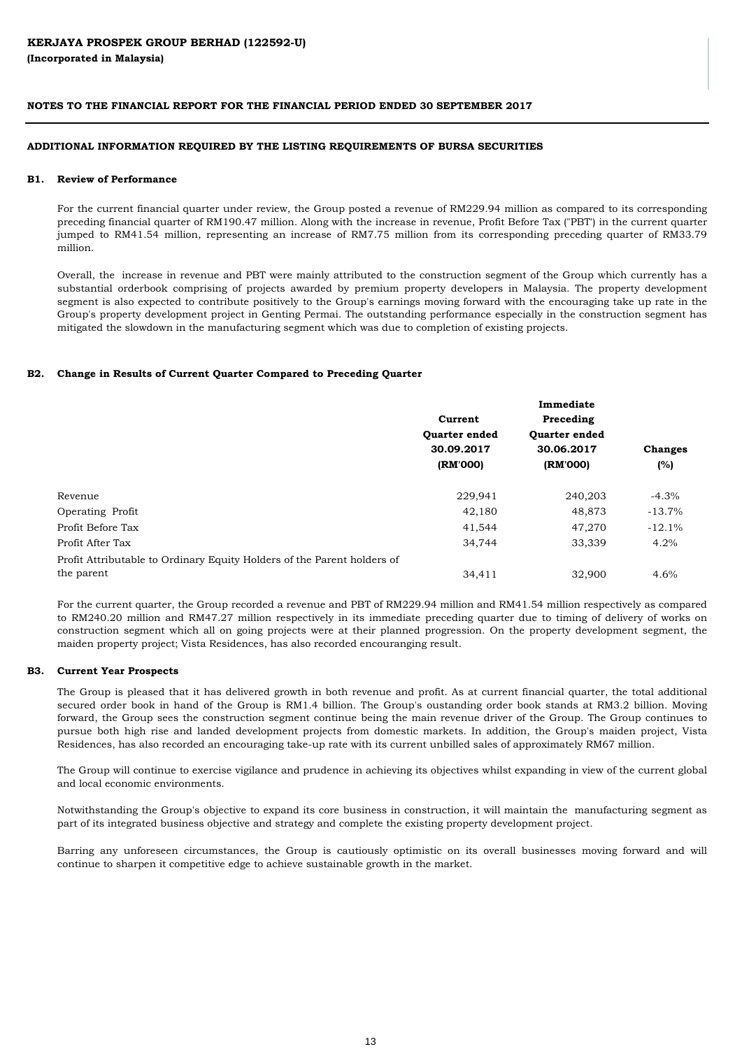### **ADDITIONAL INFORMATION REQUIRED BY THE LISTING REQUIREMENTS OF BURSA SECURITIES**

#### **B1. Review of Performance**

For the current financial quarter under review, the Group posted a revenue of RM229.94 million as compared to its corresponding preceding financial quarter of RM190.47 million. Along with the increase in revenue, Profit Before Tax ("PBT') in the current quarter jumped to RM41.54 million, representing an increase of RM7.75 million from its corresponding preceding quarter of RM33.79 million.

Overall, the increase in revenue and PBT were mainly attributed to the construction segment of the Group which currently has a substantial orderbook comprising of projects awarded by premium property developers in Malaysia. The property development segment is also expected to contribute positively to the Group's earnings moving forward with the encouraging take up rate in the Group's property development project in Genting Permai. The outstanding performance especially in the construction segment has mitigated the slowdown in the manufacturing segment which was due to completion of existing projects.

### **B2. Change in Results of Current Quarter Compared to Preceding Quarter**

|                                                                         | Current<br>Quarter ended<br>30.09.2017 | Preceding     |                |  |
|-------------------------------------------------------------------------|----------------------------------------|---------------|----------------|--|
|                                                                         |                                        | Quarter ended |                |  |
|                                                                         |                                        | 30.06.2017    | <b>Changes</b> |  |
|                                                                         | (RM'000)                               | (RM'000)      | (%)            |  |
| Revenue                                                                 | 229,941                                | 240,203       | $-4.3%$        |  |
| Operating Profit                                                        | 42,180                                 | 48,873        | $-13.7%$       |  |
| Profit Before Tax                                                       | 41,544                                 | 47,270        | $-12.1%$       |  |
| Profit After Tax                                                        | 34,744                                 | 33,339        | 4.2%           |  |
| Profit Attributable to Ordinary Equity Holders of the Parent holders of |                                        |               |                |  |
| the parent                                                              | 34,411                                 | 32,900        | 4.6%           |  |

For the current quarter, the Group recorded a revenue and PBT of RM229.94 million and RM41.54 million respectively as compared to RM240.20 million and RM47.27 million respectively in its immediate preceding quarter due to timing of delivery of works on construction segment which all on going projects were at their planned progression. On the property development segment, the maiden property project; Vista Residences, has also recorded encouranging result.

#### **B3. Current Year Prospects**

The Group is pleased that it has delivered growth in both revenue and profit. As at current financial quarter, the total additional secured order book in hand of the Group is RM1.4 billion. The Group's oustanding order book stands at RM3.2 billion. Moving forward, the Group sees the construction segment continue being the main revenue driver of the Group. The Group continues to pursue both high rise and landed development projects from domestic markets. In addition, the Group's maiden project, Vista Residences, has also recorded an encouraging take-up rate with its current unbilled sales of approximately RM67 million.

The Group will continue to exercise vigilance and prudence in achieving its objectives whilst expanding in view of the current global and local economic environments.

Notwithstanding the Group's objective to expand its core business in construction, it will maintain the manufacturing segment as part of its integrated business objective and strategy and complete the existing property development project.

Barring any unforeseen circumstances, the Group is cautiously optimistic on its overall businesses moving forward and will continue to sharpen it competitive edge to achieve sustainable growth in the market.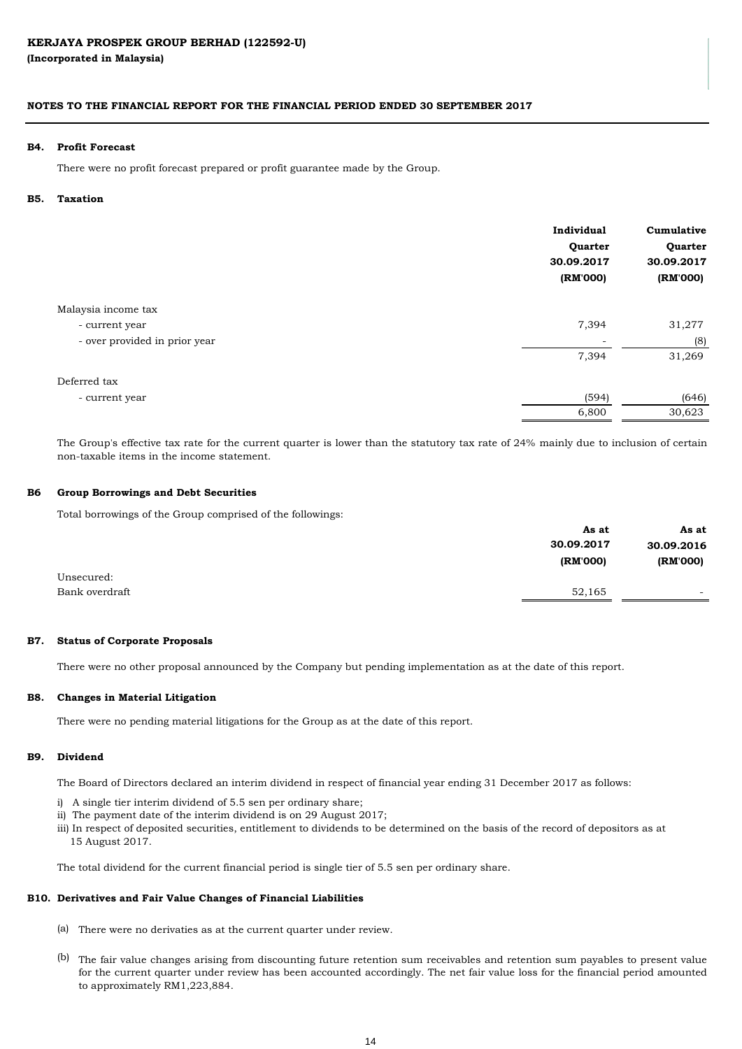# **(Incorporated in Malaysia)**

# **NOTES TO THE FINANCIAL REPORT FOR THE FINANCIAL PERIOD ENDED 30 SEPTEMBER 2017**

#### **B4. Profit Forecast**

There were no profit forecast prepared or profit guarantee made by the Group.

#### **B5. Taxation**

|                               | Individual<br>Quarter<br>30.09.2017<br>(RM'000) | Cumulative<br>Quarter<br>30.09.2017<br>(RM'000) |
|-------------------------------|-------------------------------------------------|-------------------------------------------------|
| Malaysia income tax           |                                                 |                                                 |
| - current year                | 7,394                                           | 31,277                                          |
| - over provided in prior year | $\overline{\phantom{a}}$                        | (8)                                             |
|                               | 7,394                                           | 31,269                                          |
| Deferred tax                  |                                                 |                                                 |
| - current year                | (594)                                           | (646)                                           |
|                               | 6,800                                           | 30,623                                          |

The Group's effective tax rate for the current quarter is lower than the statutory tax rate of 24% mainly due to inclusion of certain non-taxable items in the income statement.

#### **B6 Group Borrowings and Debt Securities**

Total borrowings of the Group comprised of the followings:

|                | As at      | As at                    |
|----------------|------------|--------------------------|
|                | 30.09.2017 | 30.09.2016               |
|                | (RM'000)   | (RM'000)                 |
| Unsecured:     |            |                          |
| Bank overdraft | 52,165     | $\overline{\phantom{0}}$ |
|                |            |                          |

#### **B7. Status of Corporate Proposals**

There were no other proposal announced by the Company but pending implementation as at the date of this report.

#### **B8. Changes in Material Litigation**

There were no pending material litigations for the Group as at the date of this report.

#### **B9. Dividend**

The Board of Directors declared an interim dividend in respect of financial year ending 31 December 2017 as follows:

- i) A single tier interim dividend of 5.5 sen per ordinary share;
- ii) The payment date of the interim dividend is on 29 August 2017;
- iii) In respect of deposited securities, entitlement to dividends to be determined on the basis of the record of depositors as at 15 August 2017.

The total dividend for the current financial period is single tier of 5.5 sen per ordinary share.

#### **B10. Derivatives and Fair Value Changes of Financial Liabilities**

- (a) There were no derivaties as at the current quarter under review.
- (b) The fair value changes arising from discounting future retention sum receivables and retention sum payables to present value for the current quarter under review has been accounted accordingly. The net fair value loss for the financial period amounted to approximately RM1,223,884.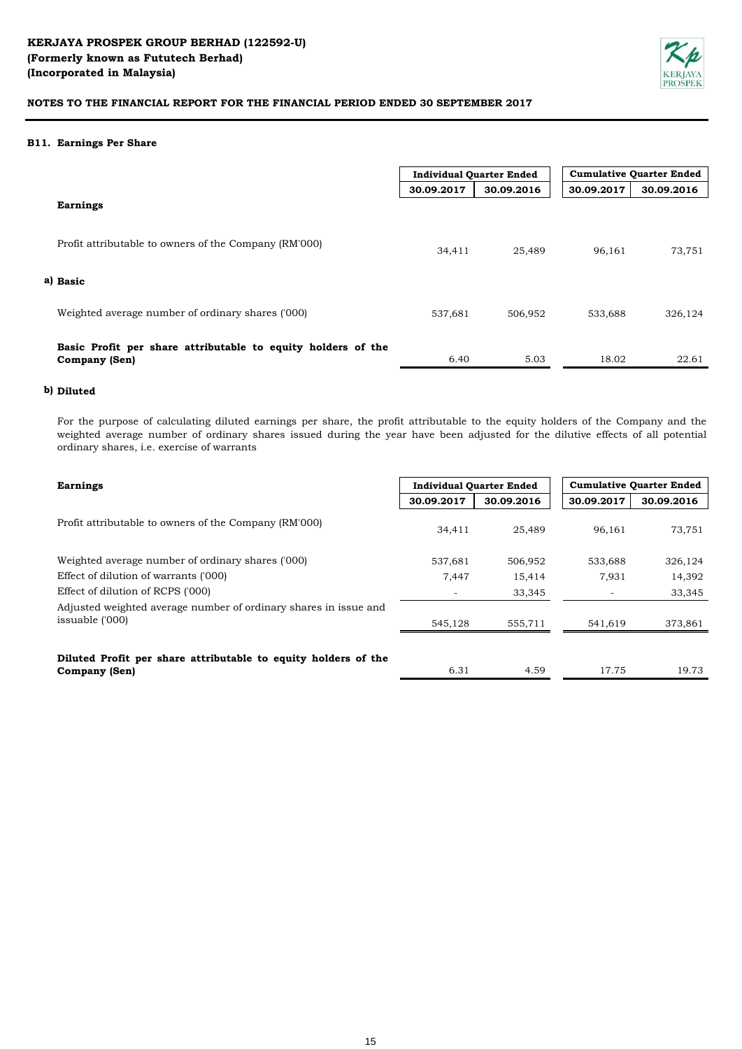

### **B11. Earnings Per Share**

|                                                                                      | <b>Individual Quarter Ended</b> |            | <b>Cumulative Quarter Ended</b> |            |
|--------------------------------------------------------------------------------------|---------------------------------|------------|---------------------------------|------------|
|                                                                                      | 30.09.2017                      | 30.09.2016 | 30.09.2017                      | 30.09.2016 |
| <b>Earnings</b>                                                                      |                                 |            |                                 |            |
| Profit attributable to owners of the Company (RM'000)                                | 34,411                          | 25,489     | 96,161                          | 73,751     |
| a) Basic                                                                             |                                 |            |                                 |            |
| Weighted average number of ordinary shares ('000)                                    | 537,681                         | 506,952    | 533,688                         | 326,124    |
| Basic Profit per share attributable to equity holders of the<br><b>Company (Sen)</b> | 6.40                            | 5.03       | 18.02                           | 22.61      |

# **b) Diluted**

For the purpose of calculating diluted earnings per share, the profit attributable to the equity holders of the Company and the weighted average number of ordinary shares issued during the year have been adjusted for the dilutive effects of all potential ordinary shares, i.e. exercise of warrants

| <b>Earnings</b>                                                                        | <b>Individual Quarter Ended</b> |            | <b>Cumulative Quarter Ended</b> |            |
|----------------------------------------------------------------------------------------|---------------------------------|------------|---------------------------------|------------|
|                                                                                        | 30.09.2017                      | 30.09.2016 | 30.09.2017                      | 30.09.2016 |
| Profit attributable to owners of the Company (RM'000)                                  | 34,411                          | 25,489     | 96,161                          | 73,751     |
| Weighted average number of ordinary shares ('000)                                      | 537,681                         | 506,952    | 533,688                         | 326,124    |
| Effect of dilution of warrants ('000)                                                  | 7.447                           | 15,414     | 7,931                           | 14,392     |
| Effect of dilution of RCPS ('000)                                                      |                                 | 33,345     |                                 | 33,345     |
| Adjusted weighted average number of ordinary shares in issue and<br>issuable ('000)    | 545,128                         | 555,711    | 541,619                         | 373,861    |
| Diluted Profit per share attributable to equity holders of the<br><b>Company (Sen)</b> | 6.31                            | 4.59       | 17.75                           | 19.73      |